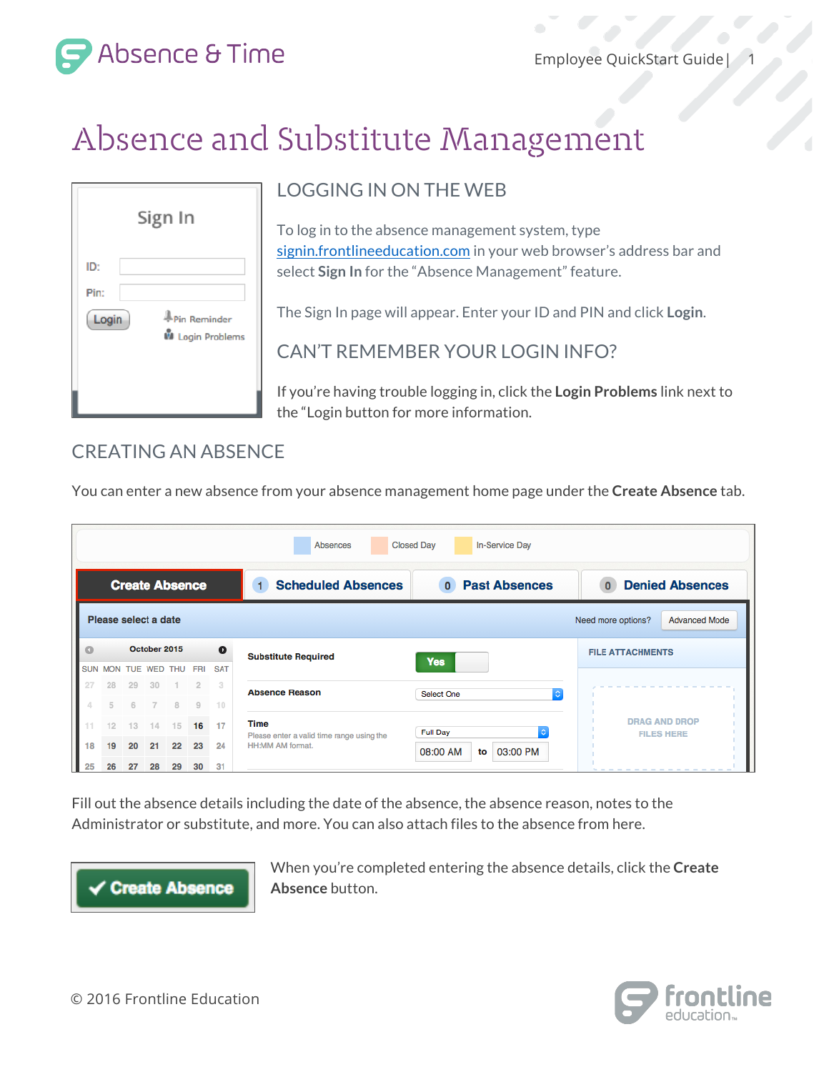1

Absence & Time

# Absence and Substitute Management

| Sign In              |                                         |  |  |  |  |  |
|----------------------|-----------------------------------------|--|--|--|--|--|
| ID:<br>Pin:<br>Login | Pin Reminder<br><b>W</b> Login Problems |  |  |  |  |  |

## LOGGING IN ON THE WEB

To log in to the absence management system, type [signin.frontlineeducation.com](https://www.frontlineeducation.com/SignIn.html) in your web browser's address bar and select **Sign In** for the "Absence Management" feature.

The Sign In page will appear. Enter your ID and PIN and click **Login**.

CAN'T REMEMBER YOUR LOGIN INFO?

If you're having trouble logging in, click the **Login Problems** link next to the "Login button for more information.

### CREATING AN ABSENCE

You can enter a new absence from your absence management home page under the **Create Absence** tab.

| <b>Closed Day</b><br>In-Service Day<br>Absences                    |                      |    |                   |         |                |                 |                                                               |                                               |                                        |
|--------------------------------------------------------------------|----------------------|----|-------------------|---------|----------------|-----------------|---------------------------------------------------------------|-----------------------------------------------|----------------------------------------|
| <b>Create Absence</b>                                              |                      |    |                   |         |                |                 | <b>Scheduled Absences</b><br>1                                | <b>Past Absences</b><br>$\mathbf{0}$          | <b>Denied Absences</b><br>$\mathbf{0}$ |
| Please select a date<br><b>Advanced Mode</b><br>Need more options? |                      |    |                   |         |                |                 |                                                               |                                               |                                        |
| Ō                                                                  |                      |    | October 2015      |         |                | $\bullet$       | <b>Substitute Required</b>                                    | <b>Yes</b>                                    | <b>FILE ATTACHMENTS</b>                |
| <b>SUN</b><br>27                                                   | <b>MON</b><br>28     | 29 | TUE WED THU<br>30 |         | <b>FRI</b>     | <b>SAT</b><br>3 | <b>Absence Reason</b>                                         | G<br>Select One                               |                                        |
| $\Delta$<br>11                                                     | $\overline{5}$<br>12 | 6  | 14                | R<br>15 | $\Omega$<br>16 | 10<br>17        | <b>Time</b>                                                   |                                               | <b>DRAG AND DROP</b>                   |
| 18                                                                 | 19                   | 20 | 21                | 22      | 23             | 24              | Please enter a valid time range using the<br>HH:MM AM format. | <b>Full Day</b><br>03:00 PM<br>08:00 AM<br>to | <b>FILES HERE</b>                      |
| 25                                                                 | 26                   | 27 | 28                | 29      | 30             | 31              |                                                               |                                               |                                        |

Fill out the absence details including the date of the absence, the absence reason, notes to the Administrator or substitute, and more. You can also attach files to the absence from here.



When you're completed entering the absence details, click the **Create Absence** button.